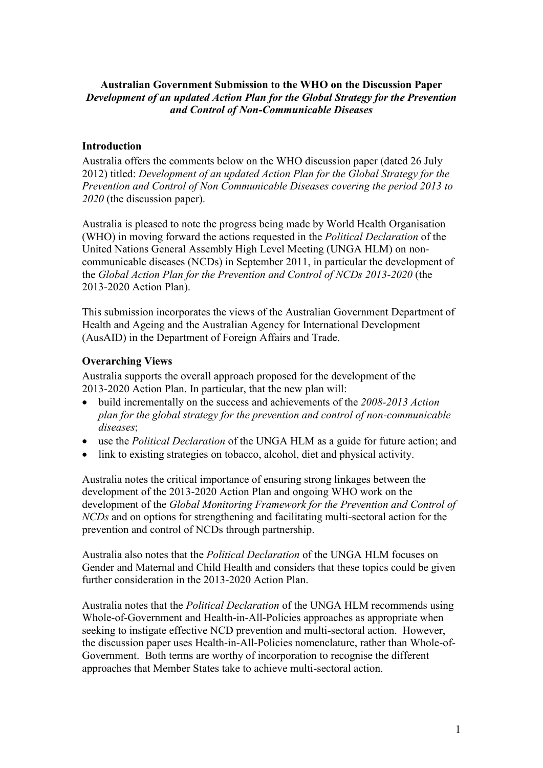### **Australian Government Submission to the WHO on the Discussion Paper**  *Development of an updated Action Plan for the Global Strategy for the Prevention and Control of Non-Communicable Diseases*

### **Introduction**

Australia offers the comments below on the WHO discussion paper (dated 26 July 2012) titled: *Development of an updated Action Plan for the Global Strategy for the Prevention and Control of Non Communicable Diseases covering the period 2013 to 2020* (the discussion paper).

Australia is pleased to note the progress being made by World Health Organisation (WHO) in moving forward the actions requested in the *Political Declaration* of the United Nations General Assembly High Level Meeting (UNGA HLM) on noncommunicable diseases (NCDs) in September 2011, in particular the development of the *Global Action Plan for the Prevention and Control of NCDs 2013-2020* (the 2013-2020 Action Plan).

This submission incorporates the views of the Australian Government Department of Health and Ageing and the Australian Agency for International Development (AusAID) in the Department of Foreign Affairs and Trade.

### **Overarching Views**

Australia supports the overall approach proposed for the development of the 2013-2020 Action Plan. In particular, that the new plan will:

- build incrementally on the success and achievements of the *2008-2013 Action plan for the global strategy for the prevention and control of non-communicable diseases*;
- use the *Political Declaration* of the UNGA HLM as a guide for future action; and
- link to existing strategies on tobacco, alcohol, diet and physical activity.

Australia notes the critical importance of ensuring strong linkages between the development of the 2013-2020 Action Plan and ongoing WHO work on the development of the *Global Monitoring Framework for the Prevention and Control of NCDs* and on options for strengthening and facilitating multi-sectoral action for the prevention and control of NCDs through partnership.

Australia also notes that the *Political Declaration* of the UNGA HLM focuses on Gender and Maternal and Child Health and considers that these topics could be given further consideration in the 2013-2020 Action Plan.

Australia notes that the *Political Declaration* of the UNGA HLM recommends using Whole-of-Government and Health-in-All-Policies approaches as appropriate when seeking to instigate effective NCD prevention and multi-sectoral action. However, the discussion paper uses Health-in-All-Policies nomenclature, rather than Whole-of-Government. Both terms are worthy of incorporation to recognise the different approaches that Member States take to achieve multi-sectoral action.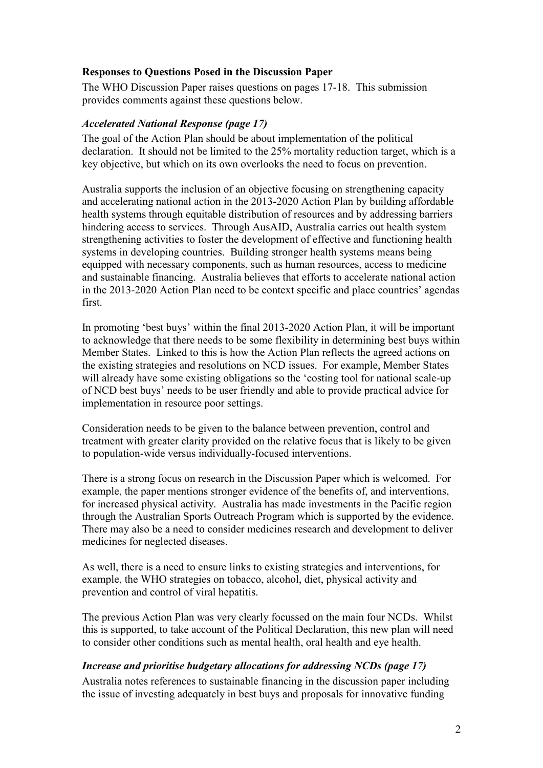### **Responses to Questions Posed in the Discussion Paper**

The WHO Discussion Paper raises questions on pages 17-18. This submission provides comments against these questions below.

#### *Accelerated National Response (page 17)*

The goal of the Action Plan should be about implementation of the political declaration. It should not be limited to the 25% mortality reduction target, which is a key objective, but which on its own overlooks the need to focus on prevention.

Australia supports the inclusion of an objective focusing on strengthening capacity and accelerating national action in the 2013-2020 Action Plan by building affordable health systems through equitable distribution of resources and by addressing barriers hindering access to services. Through AusAID, Australia carries out health system strengthening activities to foster the development of effective and functioning health systems in developing countries. Building stronger health systems means being equipped with necessary components, such as human resources, access to medicine and sustainable financing. Australia believes that efforts to accelerate national action in the 2013-2020 Action Plan need to be context specific and place countries" agendas first.

In promoting "best buys" within the final 2013-2020 Action Plan, it will be important to acknowledge that there needs to be some flexibility in determining best buys within Member States. Linked to this is how the Action Plan reflects the agreed actions on the existing strategies and resolutions on NCD issues. For example, Member States will already have some existing obligations so the 'costing tool for national scale-up of NCD best buys" needs to be user friendly and able to provide practical advice for implementation in resource poor settings.

Consideration needs to be given to the balance between prevention, control and treatment with greater clarity provided on the relative focus that is likely to be given to population-wide versus individually-focused interventions.

There is a strong focus on research in the Discussion Paper which is welcomed. For example, the paper mentions stronger evidence of the benefits of, and interventions, for increased physical activity. Australia has made investments in the Pacific region through the Australian Sports Outreach Program which is supported by the evidence. There may also be a need to consider medicines research and development to deliver medicines for neglected diseases.

As well, there is a need to ensure links to existing strategies and interventions, for example, the WHO strategies on tobacco, alcohol, diet, physical activity and prevention and control of viral hepatitis.

The previous Action Plan was very clearly focussed on the main four NCDs. Whilst this is supported, to take account of the Political Declaration, this new plan will need to consider other conditions such as mental health, oral health and eye health.

#### *Increase and prioritise budgetary allocations for addressing NCDs (page 17)*

Australia notes references to sustainable financing in the discussion paper including the issue of investing adequately in best buys and proposals for innovative funding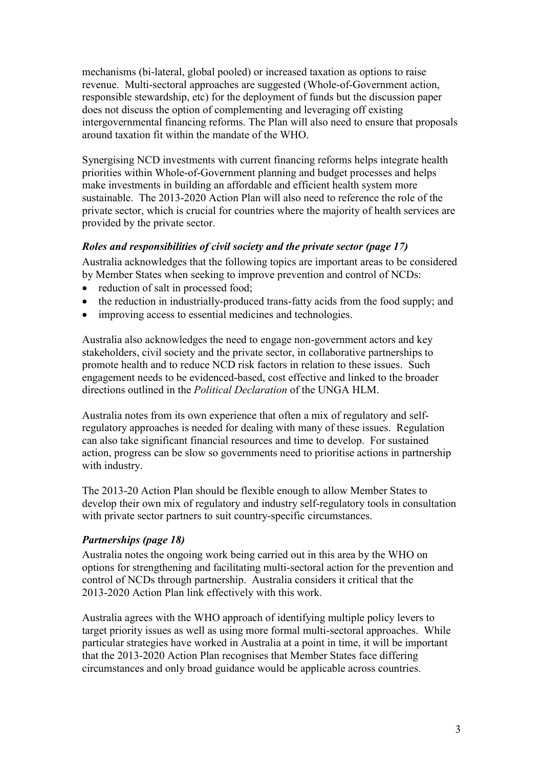mechanisms (bi-lateral, global pooled) or increased taxation as options to raise revenue. Multi-sectoral approaches are suggested (Whole-of-Government action, responsible stewardship, etc) for the deployment of funds but the discussion paper does not discuss the option of complementing and leveraging off existing intergovernmental financing reforms. The Plan will also need to ensure that proposals around taxation fit within the mandate of the WHO.

Synergising NCD investments with current financing reforms helps integrate health priorities within Whole-of-Government planning and budget processes and helps make investments in building an affordable and efficient health system more sustainable. The 2013-2020 Action Plan will also need to reference the role of the private sector, which is crucial for countries where the majority of health services are provided by the private sector.

### *Roles and responsibilities of civil society and the private sector (page 17)*

Australia acknowledges that the following topics are important areas to be considered by Member States when seeking to improve prevention and control of NCDs:

- reduction of salt in processed food:
- the reduction in industrially-produced trans-fatty acids from the food supply; and
- improving access to essential medicines and technologies.

Australia also acknowledges the need to engage non-government actors and key stakeholders, civil society and the private sector, in collaborative partnerships to promote health and to reduce NCD risk factors in relation to these issues. Such engagement needs to be evidenced-based, cost effective and linked to the broader directions outlined in the *Political Declaration* of the UNGA HLM.

Australia notes from its own experience that often a mix of regulatory and selfregulatory approaches is needed for dealing with many of these issues. Regulation can also take significant financial resources and time to develop. For sustained action, progress can be slow so governments need to prioritise actions in partnership with industry.

The 2013-20 Action Plan should be flexible enough to allow Member States to develop their own mix of regulatory and industry self-regulatory tools in consultation with private sector partners to suit country-specific circumstances.

### *Partnerships (page 18)*

Australia notes the ongoing work being carried out in this area by the WHO on options for strengthening and facilitating multi-sectoral action for the prevention and control of NCDs through partnership. Australia considers it critical that the 2013-2020 Action Plan link effectively with this work.

Australia agrees with the WHO approach of identifying multiple policy levers to target priority issues as well as using more formal multi-sectoral approaches. While particular strategies have worked in Australia at a point in time, it will be important that the 2013-2020 Action Plan recognises that Member States face differing circumstances and only broad guidance would be applicable across countries.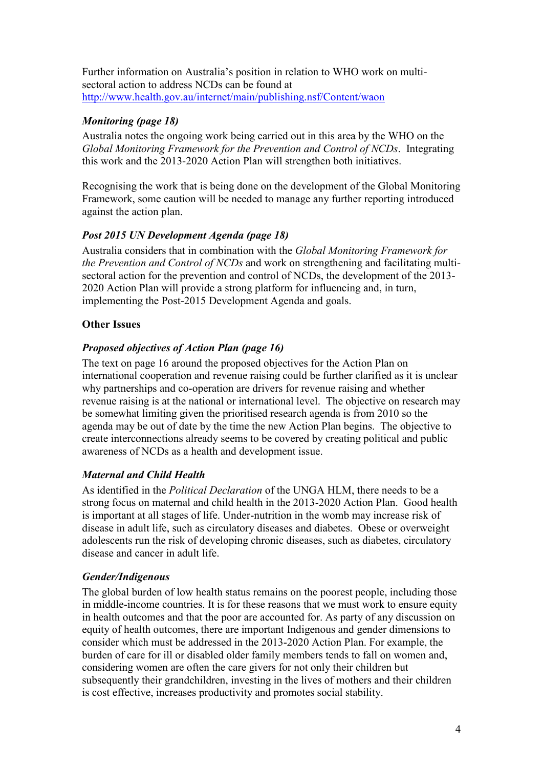Further information on Australia"s position in relation to WHO work on multisectoral action to address NCDs can be found at <http://www.health.gov.au/internet/main/publishing.nsf/Content/waon>

## *Monitoring (page 18)*

Australia notes the ongoing work being carried out in this area by the WHO on the *Global Monitoring Framework for the Prevention and Control of NCDs*. Integrating this work and the 2013-2020 Action Plan will strengthen both initiatives.

Recognising the work that is being done on the development of the Global Monitoring Framework, some caution will be needed to manage any further reporting introduced against the action plan.

### *Post 2015 UN Development Agenda (page 18)*

Australia considers that in combination with the *Global Monitoring Framework for the Prevention and Control of NCDs* and work on strengthening and facilitating multisectoral action for the prevention and control of NCDs, the development of the 2013- 2020 Action Plan will provide a strong platform for influencing and, in turn, implementing the Post-2015 Development Agenda and goals.

### **Other Issues**

### *Proposed objectives of Action Plan (page 16)*

The text on page 16 around the proposed objectives for the Action Plan on international cooperation and revenue raising could be further clarified as it is unclear why partnerships and co-operation are drivers for revenue raising and whether revenue raising is at the national or international level. The objective on research may be somewhat limiting given the prioritised research agenda is from 2010 so the agenda may be out of date by the time the new Action Plan begins. The objective to create interconnections already seems to be covered by creating political and public awareness of NCDs as a health and development issue.

# *Maternal and Child Health*

As identified in the *Political Declaration* of the UNGA HLM, there needs to be a strong focus on maternal and child health in the 2013-2020 Action Plan. Good health is important at all stages of life. Under-nutrition in the womb may increase risk of disease in adult life, such as circulatory diseases and diabetes. Obese or overweight adolescents run the risk of developing chronic diseases, such as diabetes, circulatory disease and cancer in adult life.

### *Gender/Indigenous*

The global burden of low health status remains on the poorest people, including those in middle-income countries. It is for these reasons that we must work to ensure equity in health outcomes and that the poor are accounted for. As party of any discussion on equity of health outcomes, there are important Indigenous and gender dimensions to consider which must be addressed in the 2013-2020 Action Plan. For example, the burden of care for ill or disabled older family members tends to fall on women and, considering women are often the care givers for not only their children but subsequently their grandchildren, investing in the lives of mothers and their children is cost effective, increases productivity and promotes social stability.